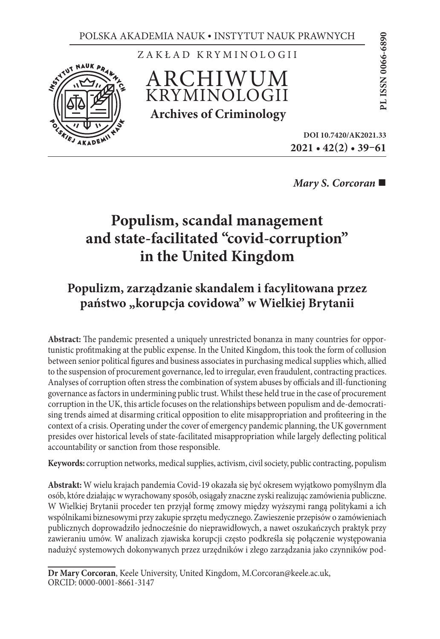

ZAKŁAD KRYMINOLOGII

ARCHIWUM KRYMINOLOGII **Archives of Criminology**

**2021 • 42(2) • 39–61** RAWNYCH<br>
006<br>
006<br>
DOI 10.7420/AK2021.33<br>
DOI 10.7420/AK2021.33

*Mary S. Corcoran* 

# **Populism, scandal management and state-facilitated "covid-corruption" in the United Kingdom**

# **Populizm, zarządzanie skandalem i facylitowana przez**  państwo "korupcja covidowa" w Wielkiej Brytanii

**Abstract:** The pandemic presented a uniquely unrestricted bonanza in many countries for opportunistic profitmaking at the public expense. In the United Kingdom, this took the form of collusion between senior political figures and business associates in purchasing medical supplies which, allied to the suspension of procurement governance, led to irregular, even fraudulent, contracting practices. Analyses of corruption often stress the combination of system abuses by officials and ill-functioning governance as factors in undermining public trust. Whilst these held true in the case of procurement corruption in the UK, this article focuses on the relationships between populism and de-democratising trends aimed at disarming critical opposition to elite misappropriation and profiteering in the context of a crisis. Operating under the cover of emergency pandemic planning, the UK government presides over historical levels of state-facilitated misappropriation while largely deflecting political accountability or sanction from those responsible.

**Keywords:** corruption networks, medical supplies, activism, civil society, public contracting, populism

**Abstrakt:** W wielu krajach pandemia Covid-19 okazała się być okresem wyjątkowo pomyślnym dla osób, które działając w wyrachowany sposób, osiągały znaczne zyski realizując zamówienia publiczne. W Wielkiej Brytanii proceder ten przyjął formę zmowy między wyższymi rangą politykami a ich wspólnikami biznesowymi przy zakupie sprzętu medycznego. Zawieszenie przepisów o zamówieniach publicznych doprowadziło jednocześnie do nieprawidłowych, a nawet oszukańczych praktyk przy zawieraniu umów. W analizach zjawiska korupcji często podkreśla się połączenie występowania nadużyć systemowych dokonywanych przez urzędników i złego zarządzania jako czynników pod-

**Dr Mary Corcoran**, Keele University, United Kingdom, M.Corcoran@keele.ac.uk, ORCID: 0000-0001-8661-3147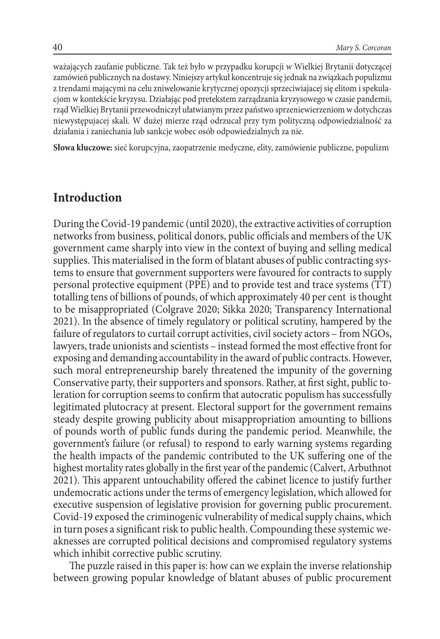ważających zaufanie publiczne. Tak też było w przypadku korupcji w Wielkiej Brytanii dotyczącej zamówień publicznych na dostawy. Niniejszy artykuł koncentruje się jednak na związkach populizmu z trendami mającymi na celu zniwelowanie krytycznej opozycji sprzeciwiajacej się elitom i spekulacjom w kontekście kryzysu. Działając pod pretekstem zarządzania kryzysowego w czasie pandemii, rząd Wielkiej Brytanii przewodniczył ułatwianym przez państwo sprzeniewierzeniom w dotychczas niewystępujacej skali. W dużej mierze rząd odrzucał przy tym polityczną odpowiedzialność za działania i zaniechania lub sankcje wobec osób odpowiedzialnych za nie.

**Słowa kluczowe:** sieć korupcyjna, zaopatrzenie medyczne, elity, zamówienie publiczne, populizm

#### **Introduction**

During the Covid-19 pandemic (until 2020), the extractive activities of corruption networks from business, political donors, public officials and members of the UK government came sharply into view in the context of buying and selling medical supplies. This materialised in the form of blatant abuses of public contracting systems to ensure that government supporters were favoured for contracts to supply personal protective equipment (PPE) and to provide test and trace systems (TT) totalling tens of billions of pounds, of which approximately 40 per cent is thought to be misappropriated (Colgrave 2020; Sikka 2020; Transparency International 2021). In the absence of timely regulatory or political scrutiny, hampered by the failure of regulators to curtail corrupt activities, civil society actors – from NGOs, lawyers, trade unionists and scientists – instead formed the most effective front for exposing and demanding accountability in the award of public contracts. However, such moral entrepreneurship barely threatened the impunity of the governing Conservative party, their supporters and sponsors. Rather, at first sight, public toleration for corruption seems to confirm that autocratic populism has successfully legitimated plutocracy at present. Electoral support for the government remains steady despite growing publicity about misappropriation amounting to billions of pounds worth of public funds during the pandemic period. Meanwhile, the government's failure (or refusal) to respond to early warning systems regarding the health impacts of the pandemic contributed to the UK suffering one of the highest mortality rates globally in the first year of the pandemic (Calvert, Arbuthnot 2021). This apparent untouchability offered the cabinet licence to justify further undemocratic actions under the terms of emergency legislation, which allowed for executive suspension of legislative provision for governing public procurement. Covid-19 exposed the criminogenic vulnerability of medical supply chains, which in turn poses a significant risk to public health. Compounding these systemic weaknesses are corrupted political decisions and compromised regulatory systems which inhibit corrective public scrutiny.

The puzzle raised in this paper is: how can we explain the inverse relationship between growing popular knowledge of blatant abuses of public procurement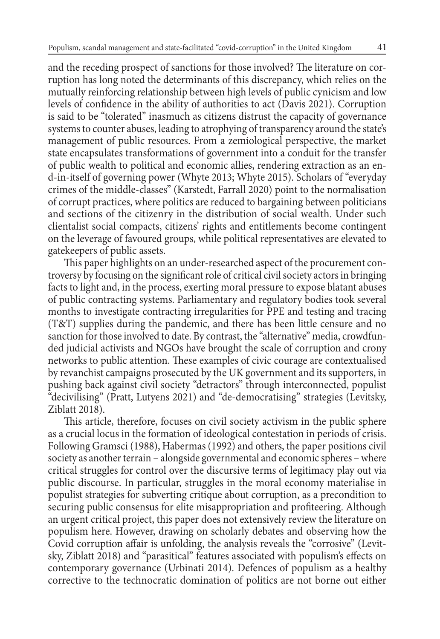and the receding prospect of sanctions for those involved? The literature on corruption has long noted the determinants of this discrepancy, which relies on the mutually reinforcing relationship between high levels of public cynicism and low levels of confidence in the ability of authorities to act (Davis 2021). Corruption is said to be "tolerated" inasmuch as citizens distrust the capacity of governance systems to counter abuses, leading to atrophying of transparency around the state's management of public resources. From a zemiological perspective, the market state encapsulates transformations of government into a conduit for the transfer of public wealth to political and economic allies, rendering extraction as an end-in-itself of governing power (Whyte 2013; Whyte 2015). Scholars of "everyday crimes of the middle-classes" (Karstedt, Farrall 2020) point to the normalisation of corrupt practices, where politics are reduced to bargaining between politicians and sections of the citizenry in the distribution of social wealth. Under such clientalist social compacts, citizens' rights and entitlements become contingent on the leverage of favoured groups, while political representatives are elevated to gatekeepers of public assets.

This paper highlights on an under-researched aspect of the procurement controversy by focusing on the significant role of critical civil society actors in bringing facts to light and, in the process, exerting moral pressure to expose blatant abuses of public contracting systems. Parliamentary and regulatory bodies took several months to investigate contracting irregularities for PPE and testing and tracing (T&T) supplies during the pandemic, and there has been little censure and no sanction for those involved to date. By contrast, the "alternative" media, crowdfunded judicial activists and NGOs have brought the scale of corruption and crony networks to public attention. These examples of civic courage are contextualised by revanchist campaigns prosecuted by the UK government and its supporters, in pushing back against civil society "detractors" through interconnected, populist "decivilising" (Pratt, Lutyens 2021) and "de-democratising" strategies (Levitsky, Ziblatt 2018).

This article, therefore, focuses on civil society activism in the public sphere as a crucial locus in the formation of ideological contestation in periods of crisis. Following Gramsci (1988), Habermas (1992) and others, the paper positions civil society as another terrain – alongside governmental and economic spheres – where critical struggles for control over the discursive terms of legitimacy play out via public discourse. In particular, struggles in the moral economy materialise in populist strategies for subverting critique about corruption, as a precondition to securing public consensus for elite misappropriation and profiteering. Although an urgent critical project, this paper does not extensively review the literature on populism here. However, drawing on scholarly debates and observing how the Covid corruption affair is unfolding, the analysis reveals the "corrosive" (Levitsky, Ziblatt 2018) and "parasitical" features associated with populism's effects on contemporary governance (Urbinati 2014). Defences of populism as a healthy corrective to the technocratic domination of politics are not borne out either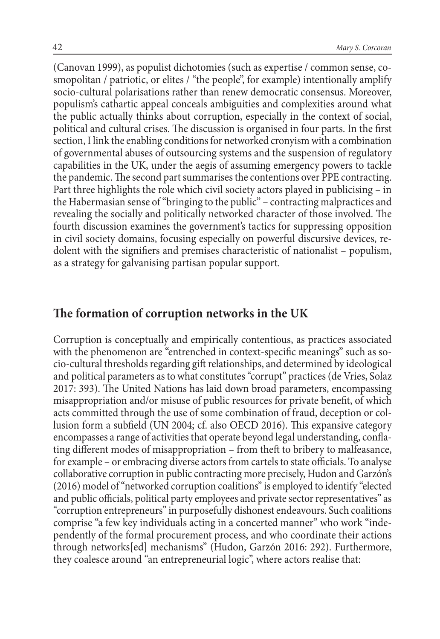(Canovan 1999), as populist dichotomies (such as expertise / common sense, cosmopolitan / patriotic, or elites / "the people", for example) intentionally amplify socio-cultural polarisations rather than renew democratic consensus. Moreover, populism's cathartic appeal conceals ambiguities and complexities around what the public actually thinks about corruption, especially in the context of social, political and cultural crises. The discussion is organised in four parts. In the first section, I link the enabling conditions for networked cronyism with a combination of governmental abuses of outsourcing systems and the suspension of regulatory capabilities in the UK, under the aegis of assuming emergency powers to tackle the pandemic. The second part summarises the contentions over PPE contracting. Part three highlights the role which civil society actors played in publicising – in the Habermasian sense of "bringing to the public" – contracting malpractices and revealing the socially and politically networked character of those involved. The fourth discussion examines the government's tactics for suppressing opposition in civil society domains, focusing especially on powerful discursive devices, redolent with the signifiers and premises characteristic of nationalist – populism, as a strategy for galvanising partisan popular support.

#### **The formation of corruption networks in the UK**

Corruption is conceptually and empirically contentious, as practices associated with the phenomenon are "entrenched in context-specific meanings" such as socio-cultural thresholds regarding gift relationships, and determined by ideological and political parameters as to what constitutes "corrupt" practices (de Vries, Solaz 2017: 393). The United Nations has laid down broad parameters, encompassing misappropriation and/or misuse of public resources for private benefit, of which acts committed through the use of some combination of fraud, deception or collusion form a subfield (UN 2004; cf. also OECD 2016). This expansive category encompasses a range of activities that operate beyond legal understanding, conflating different modes of misappropriation – from theft to bribery to malfeasance, for example – or embracing diverse actors from cartels to state officials. To analyse collaborative corruption in public contracting more precisely, Hudon and Garzón's (2016) model of "networked corruption coalitions" is employed to identify "elected and public officials, political party employees and private sector representatives" as "corruption entrepreneurs" in purposefully dishonest endeavours. Such coalitions comprise "a few key individuals acting in a concerted manner" who work "independently of the formal procurement process, and who coordinate their actions through networks[ed] mechanisms" (Hudon, Garzón 2016: 292). Furthermore, they coalesce around "an entrepreneurial logic", where actors realise that: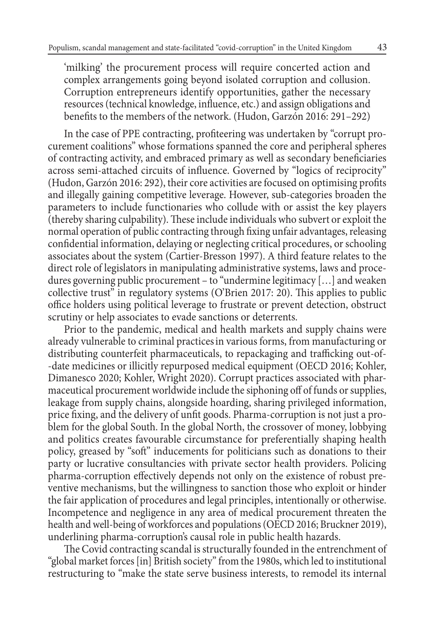'milking' the procurement process will require concerted action and complex arrangements going beyond isolated corruption and collusion. Corruption entrepreneurs identify opportunities, gather the necessary resources (technical knowledge, influence, etc.) and assign obligations and benefits to the members of the network. (Hudon, Garzón 2016: 291–292)

In the case of PPE contracting, profiteering was undertaken by "corrupt procurement coalitions" whose formations spanned the core and peripheral spheres of contracting activity, and embraced primary as well as secondary beneficiaries across semi-attached circuits of influence. Governed by "logics of reciprocity" (Hudon, Garzón 2016: 292), their core activities are focused on optimising profits and illegally gaining competitive leverage. However, sub-categories broaden the parameters to include functionaries who collude with or assist the key players (thereby sharing culpability). These include individuals who subvert or exploit the normal operation of public contracting through fixing unfair advantages, releasing confidential information, delaying or neglecting critical procedures, or schooling associates about the system (Cartier-Bresson 1997). A third feature relates to the direct role of legislators in manipulating administrative systems, laws and procedures governing public procurement – to "undermine legitimacy […] and weaken collective trust" in regulatory systems (O'Brien 2017: 20). This applies to public office holders using political leverage to frustrate or prevent detection, obstruct scrutiny or help associates to evade sanctions or deterrents.

Prior to the pandemic, medical and health markets and supply chains were already vulnerable to criminal practicesin various forms, from manufacturing or distributing counterfeit pharmaceuticals, to repackaging and trafficking out-of- -date medicines or illicitly repurposed medical equipment (OECD 2016; Kohler, Dimanesco 2020; Kohler, Wright 2020). Corrupt practices associated with pharmaceutical procurement worldwide include the siphoning off of funds or supplies, leakage from supply chains, alongside hoarding, sharing privileged information, price fixing, and the delivery of unfit goods. Pharma-corruption is not just a problem for the global South. In the global North, the crossover of money, lobbying and politics creates favourable circumstance for preferentially shaping health policy, greased by "soft" inducements for politicians such as donations to their party or lucrative consultancies with private sector health providers. Policing pharma-corruption effectively depends not only on the existence of robust preventive mechanisms, but the willingness to sanction those who exploit or hinder the fair application of procedures and legal principles, intentionally or otherwise. Incompetence and negligence in any area of medical procurement threaten the health and well-being of workforces and populations (OECD 2016; Bruckner 2019), underlining pharma-corruption's causal role in public health hazards.

The Covid contracting scandal is structurally founded in the entrenchment of "global market forces [in] British society" from the 1980s, which led to institutional restructuring to "make the state serve business interests, to remodel its internal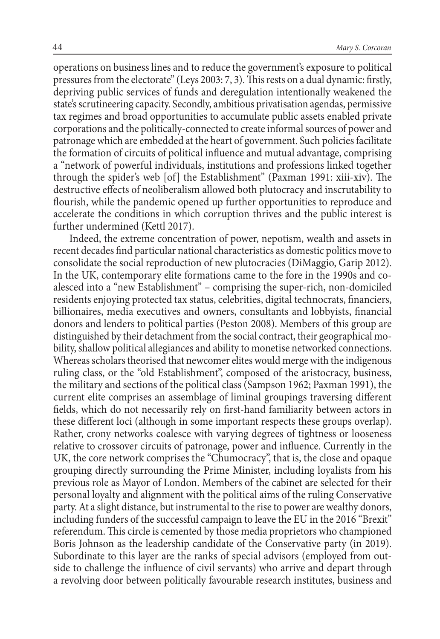operations on business lines and to reduce the government's exposure to political pressures from the electorate" (Leys 2003: 7, 3). This rests on a dual dynamic: firstly, depriving public services of funds and deregulation intentionally weakened the state's scrutineering capacity. Secondly, ambitious privatisation agendas, permissive tax regimes and broad opportunities to accumulate public assets enabled private corporations and the politically-connected to create informal sources of power and patronage which are embedded at the heart of government. Such policies facilitate the formation of circuits of political influence and mutual advantage, comprising a "network of powerful individuals, institutions and professions linked together through the spider's web [of] the Establishment" (Paxman 1991: xiii-xiv). The destructive effects of neoliberalism allowed both plutocracy and inscrutability to flourish, while the pandemic opened up further opportunities to reproduce and accelerate the conditions in which corruption thrives and the public interest is further undermined (Kettl 2017).

Indeed, the extreme concentration of power, nepotism, wealth and assets in recent decades find particular national characteristics as domestic politics move to consolidate the social reproduction of new plutocracies (DiMaggio, Garip 2012). In the UK, contemporary elite formations came to the fore in the 1990s and coalesced into a "new Establishment" – comprising the super-rich, non-domiciled residents enjoying protected tax status, celebrities, digital technocrats, financiers, billionaires, media executives and owners, consultants and lobbyists, financial donors and lenders to political parties (Peston 2008). Members of this group are distinguished by their detachment from the social contract, their geographical mobility, shallow political allegiances and ability to monetise networked connections. Whereas scholars theorised that newcomer elites would merge with the indigenous ruling class, or the "old Establishment", composed of the aristocracy, business, the military and sections of the political class (Sampson 1962; Paxman 1991), the current elite comprises an assemblage of liminal groupings traversing different fields, which do not necessarily rely on first-hand familiarity between actors in these different loci (although in some important respects these groups overlap). Rather, crony networks coalesce with varying degrees of tightness or looseness relative to crossover circuits of patronage, power and influence. Currently in the UK, the core network comprises the "Chumocracy", that is, the close and opaque grouping directly surrounding the Prime Minister, including loyalists from his previous role as Mayor of London. Members of the cabinet are selected for their personal loyalty and alignment with the political aims of the ruling Conservative party. At a slight distance, but instrumental to the rise to power are wealthy donors, including funders of the successful campaign to leave the EU in the 2016 "Brexit" referendum. This circle is cemented by those media proprietors who championed Boris Johnson as the leadership candidate of the Conservative party (in 2019). Subordinate to this layer are the ranks of special advisors (employed from outside to challenge the influence of civil servants) who arrive and depart through a revolving door between politically favourable research institutes, business and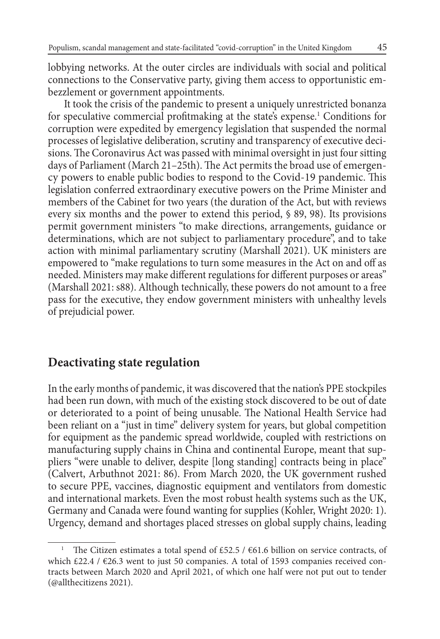lobbying networks. At the outer circles are individuals with social and political connections to the Conservative party, giving them access to opportunistic embezzlement or government appointments.

It took the crisis of the pandemic to present a uniquely unrestricted bonanza for speculative commercial profitmaking at the state's expense.1 Conditions for corruption were expedited by emergency legislation that suspended the normal processes of legislative deliberation, scrutiny and transparency of executive decisions. The Coronavirus Act was passed with minimal oversight in just four sitting days of Parliament (March 21–25th). The Act permits the broad use of emergency powers to enable public bodies to respond to the Covid-19 pandemic. This legislation conferred extraordinary executive powers on the Prime Minister and members of the Cabinet for two years (the duration of the Act, but with reviews every six months and the power to extend this period, § 89, 98). Its provisions permit government ministers "to make directions, arrangements, guidance or determinations, which are not subject to parliamentary procedure", and to take action with minimal parliamentary scrutiny (Marshall 2021). UK ministers are empowered to "make regulations to turn some measures in the Act on and off as needed. Ministers may make different regulations for different purposes or areas" (Marshall 2021: s88). Although technically, these powers do not amount to a free pass for the executive, they endow government ministers with unhealthy levels of prejudicial power.

#### **Deactivating state regulation**

In the early months of pandemic, it was discovered that the nation's PPE stockpiles had been run down, with much of the existing stock discovered to be out of date or deteriorated to a point of being unusable. The National Health Service had been reliant on a "just in time" delivery system for years, but global competition for equipment as the pandemic spread worldwide, coupled with restrictions on manufacturing supply chains in China and continental Europe, meant that suppliers "were unable to deliver, despite [long standing] contracts being in place" (Calvert, Arbuthnot 2021: 86). From March 2020, the UK government rushed to secure PPE, vaccines, diagnostic equipment and ventilators from domestic and international markets. Even the most robust health systems such as the UK, Germany and Canada were found wanting for supplies (Kohler, Wright 2020: 1). Urgency, demand and shortages placed stresses on global supply chains, leading

<sup>&</sup>lt;sup>1</sup> The Citizen estimates a total spend of £52.5 /  $661.6$  billion on service contracts, of which £22.4 /  $\epsilon$ 26.3 went to just 50 companies. A total of 1593 companies received contracts between March 2020 and April 2021, of which one half were not put out to tender (@allthecitizens 2021).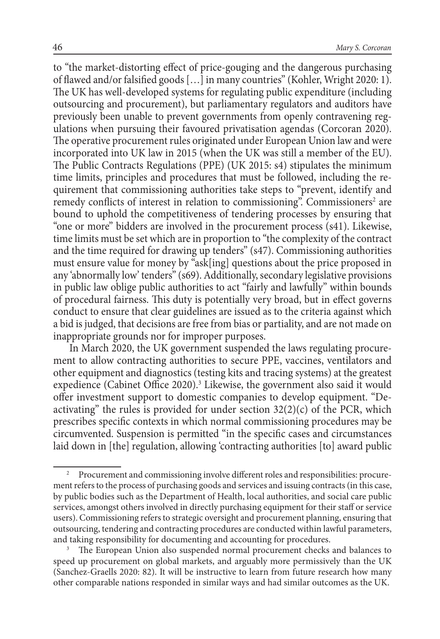to "the market-distorting effect of price-gouging and the dangerous purchasing of flawed and/or falsified goods […] in many countries" (Kohler, Wright 2020: 1). The UK has well-developed systems for regulating public expenditure (including outsourcing and procurement), but parliamentary regulators and auditors have previously been unable to prevent governments from openly contravening regulations when pursuing their favoured privatisation agendas (Corcoran 2020). The operative procurement rules originated under European Union law and were incorporated into UK law in 2015 (when the UK was still a member of the EU). The Public Contracts Regulations (PPE) (UK 2015: s4) stipulates the minimum time limits, principles and procedures that must be followed, including the requirement that commissioning authorities take steps to "prevent, identify and remedy conflicts of interest in relation to commissioning". Commissioners<sup>2</sup> are bound to uphold the competitiveness of tendering processes by ensuring that "one or more" bidders are involved in the procurement process (s41). Likewise, time limits must be set which are in proportion to "the complexity of the contract and the time required for drawing up tenders" (s47). Commissioning authorities must ensure value for money by "ask[ing] questions about the price proposed in any 'abnormally low' tenders" (s69). Additionally, secondary legislative provisions in public law oblige public authorities to act "fairly and lawfully" within bounds of procedural fairness. This duty is potentially very broad, but in effect governs conduct to ensure that clear guidelines are issued as to the criteria against which a bid is judged, that decisions are free from bias or partiality, and are not made on inappropriate grounds nor for improper purposes.

In March 2020, the UK government suspended the laws regulating procurement to allow contracting authorities to secure PPE, vaccines, ventilators and other equipment and diagnostics (testing kits and tracing systems) at the greatest expedience (Cabinet Office 2020).<sup>3</sup> Likewise, the government also said it would offer investment support to domestic companies to develop equipment. "Deactivating" the rules is provided for under section  $32(2)(c)$  of the PCR, which prescribes specific contexts in which normal commissioning procedures may be circumvented. Suspension is permitted "in the specific cases and circumstances laid down in [the] regulation, allowing 'contracting authorities [to] award public

<sup>2</sup> Procurement and commissioning involve different roles and responsibilities: procurement refers to the process of purchasing goods and services and issuing contracts (in this case, by public bodies such as the Department of Health, local authorities, and social care public services, amongst others involved in directly purchasing equipment for their staff or service users). Commissioning refers to strategic oversight and procurement planning, ensuring that outsourcing, tendering and contracting procedures are conducted within lawful parameters, and taking responsibility for documenting and accounting for procedures.<br><sup>3</sup> The European Union also suspended normal procurement checks and balances to

speed up procurement on global markets, and arguably more permissively than the UK (Sanchez-Graells 2020: 82). It will be instructive to learn from future research how many other comparable nations responded in similar ways and had similar outcomes as the UK.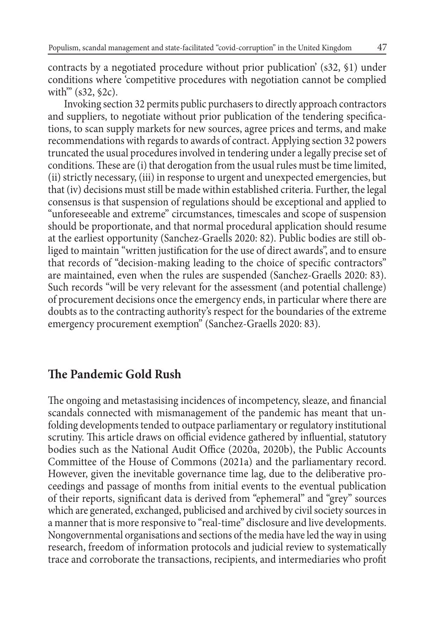contracts by a negotiated procedure without prior publication' (s32, §1) under conditions where 'competitive procedures with negotiation cannot be complied with<sup>"</sup> (s32, §2c).

Invoking section 32 permits public purchasers to directly approach contractors and suppliers, to negotiate without prior publication of the tendering specifications, to scan supply markets for new sources, agree prices and terms, and make recommendations with regards to awards of contract. Applying section 32 powers truncated the usual procedures involved in tendering under a legally precise set of conditions. These are (i) that derogation from the usual rules must be time limited, (ii) strictly necessary, (iii) in response to urgent and unexpected emergencies, but that (iv) decisions must still be made within established criteria. Further, the legal consensus is that suspension of regulations should be exceptional and applied to "unforeseeable and extreme" circumstances, timescales and scope of suspension should be proportionate, and that normal procedural application should resume at the earliest opportunity (Sanchez-Graells 2020: 82). Public bodies are still obliged to maintain "written justification for the use of direct awards", and to ensure that records of "decision-making leading to the choice of specific contractors" are maintained, even when the rules are suspended (Sanchez-Graells 2020: 83). Such records "will be very relevant for the assessment (and potential challenge) of procurement decisions once the emergency ends, in particular where there are doubts as to the contracting authority's respect for the boundaries of the extreme emergency procurement exemption" (Sanchez-Graells 2020: 83).

#### **The Pandemic Gold Rush**

The ongoing and metastasising incidences of incompetency, sleaze, and financial scandals connected with mismanagement of the pandemic has meant that unfolding developments tended to outpace parliamentary or regulatory institutional scrutiny. This article draws on official evidence gathered by influential, statutory bodies such as the National Audit Office (2020a, 2020b), the Public Accounts Committee of the House of Commons (2021a) and the parliamentary record. However, given the inevitable governance time lag, due to the deliberative proceedings and passage of months from initial events to the eventual publication of their reports, significant data is derived from "ephemeral" and "grey" sources which are generated, exchanged, publicised and archived by civil society sources in a manner that is more responsive to "real-time" disclosure and live developments. Nongovernmental organisations and sections of the media have led the way in using research, freedom of information protocols and judicial review to systematically trace and corroborate the transactions, recipients, and intermediaries who profit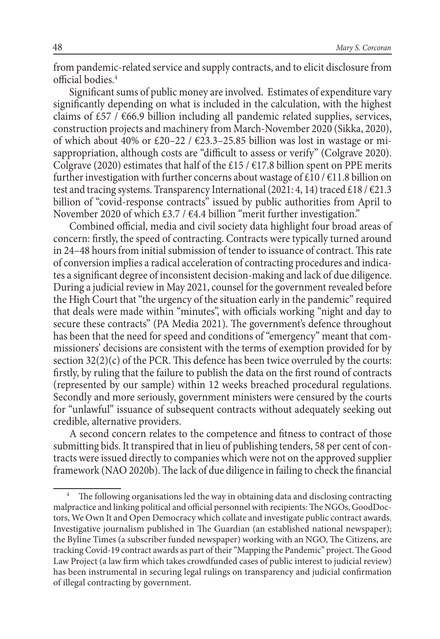from pandemic-related service and supply contracts, and to elicit disclosure from official bodies.4

Significant sums of public money are involved. Estimates of expenditure vary significantly depending on what is included in the calculation, with the highest claims of  $£57$  / $€66.9$  billion including all pandemic related supplies, services, construction projects and machinery from March-November 2020 (Sikka, 2020), of which about 40% or £20–22 /  $\epsilon$ 23.3–25.85 billion was lost in wastage or misappropriation, although costs are "difficult to assess or verify" (Colgrave 2020). Colgrave (2020) estimates that half of the £15 /  $\epsilon$ 17.8 billion spent on PPE merits further investigation with further concerns about wastage of £10 /  $\epsilon$ 11.8 billion on test and tracing systems. Transparency International (2021: 4, 14) traced £18/ $\epsilon$ 21.3 billion of "covid-response contracts" issued by public authorities from April to November 2020 of which  $\text{\textsterling}3.7 / \text{\textsterling}4.4$  billion "merit further investigation."

Combined official, media and civil society data highlight four broad areas of concern: firstly, the speed of contracting. Contracts were typically turned around in 24–48 hours from initial submission of tender to issuance of contract. This rate of conversion implies a radical acceleration of contracting procedures and indicates a significant degree of inconsistent decision-making and lack of due diligence. During a judicial review in May 2021, counsel for the government revealed before the High Court that "the urgency of the situation early in the pandemic" required that deals were made within "minutes", with officials working "night and day to secure these contracts" (PA Media 2021). The government's defence throughout has been that the need for speed and conditions of "emergency" meant that commissioners' decisions are consistent with the terms of exemption provided for by section 32(2)(c) of the PCR. This defence has been twice overruled by the courts: firstly, by ruling that the failure to publish the data on the first round of contracts (represented by our sample) within 12 weeks breached procedural regulations. Secondly and more seriously, government ministers were censured by the courts for "unlawful" issuance of subsequent contracts without adequately seeking out credible, alternative providers.

A second concern relates to the competence and fitness to contract of those submitting bids. It transpired that in lieu of publishing tenders, 58 per cent of contracts were issued directly to companies which were not on the approved supplier framework (NAO 2020b). The lack of due diligence in failing to check the financial

The following organisations led the way in obtaining data and disclosing contracting malpractice and linking political and official personnel with recipients: The NGOs, GoodDoctors, We Own It and Open Democracy which collate and investigate public contract awards. Investigative journalism published in The Guardian (an established national newspaper); the Byline Times (a subscriber funded newspaper) working with an NGO, The Citizens, are tracking Covid-19 contract awards as part of their "Mapping the Pandemic" project. The Good Law Project (a law firm which takes crowdfunded cases of public interest to judicial review) has been instrumental in securing legal rulings on transparency and judicial confirmation of illegal contracting by government.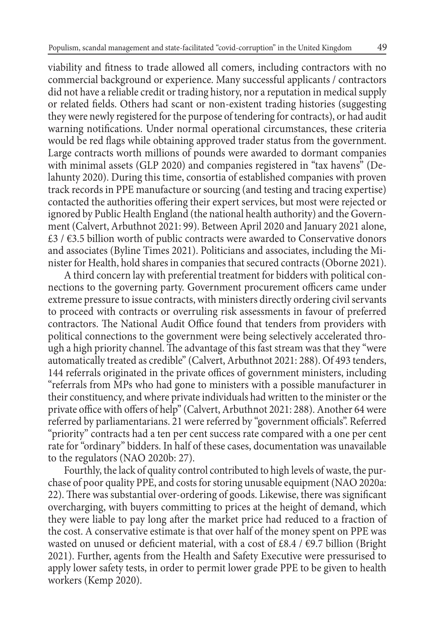viability and fitness to trade allowed all comers, including contractors with no commercial background or experience. Many successful applicants / contractors did not have a reliable credit or trading history, nor a reputation in medical supply or related fields. Others had scant or non-existent trading histories (suggesting they were newly registered for the purpose of tendering for contracts), or had audit warning notifications. Under normal operational circumstances, these criteria would be red flags while obtaining approved trader status from the government. Large contracts worth millions of pounds were awarded to dormant companies with minimal assets (GLP 2020) and companies registered in "tax havens" (Delahunty 2020). During this time, consortia of established companies with proven track records in PPE manufacture or sourcing (and testing and tracing expertise) contacted the authorities offering their expert services, but most were rejected or ignored by Public Health England (the national health authority) and the Government (Calvert, Arbuthnot 2021: 99). Between April 2020 and January 2021 alone, £3 / €3.5 billion worth of public contracts were awarded to Conservative donors and associates (Byline Times 2021). Politicians and associates, including the Minister for Health, hold shares in companies that secured contracts (Oborne 2021).

A third concern lay with preferential treatment for bidders with political connections to the governing party. Government procurement officers came under extreme pressure to issue contracts, with ministers directly ordering civil servants to proceed with contracts or overruling risk assessments in favour of preferred contractors. The National Audit Office found that tenders from providers with political connections to the government were being selectively accelerated through a high priority channel. The advantage of this fast stream was that they "were automatically treated as credible" (Calvert, Arbuthnot 2021: 288). Of 493 tenders, 144 referrals originated in the private offices of government ministers, including "referrals from MPs who had gone to ministers with a possible manufacturer in their constituency, and where private individuals had written to the minister or the private office with offers of help" (Calvert, Arbuthnot 2021: 288). Another 64 were referred by parliamentarians. 21 were referred by "government officials". Referred "priority" contracts had a ten per cent success rate compared with a one per cent rate for "ordinary" bidders. In half of these cases, documentation was unavailable to the regulators (NAO 2020b: 27).

Fourthly, the lack of quality control contributed to high levels of waste, the purchase of poor quality PPE, and costs for storing unusable equipment (NAO 2020a: 22). There was substantial over-ordering of goods. Likewise, there was significant overcharging, with buyers committing to prices at the height of demand, which they were liable to pay long after the market price had reduced to a fraction of the cost. A conservative estimate is that over half of the money spent on PPE was wasted on unused or deficient material, with a cost of £8.4 /  $\epsilon$ 9.7 billion (Bright 2021). Further, agents from the Health and Safety Executive were pressurised to apply lower safety tests, in order to permit lower grade PPE to be given to health workers (Kemp 2020).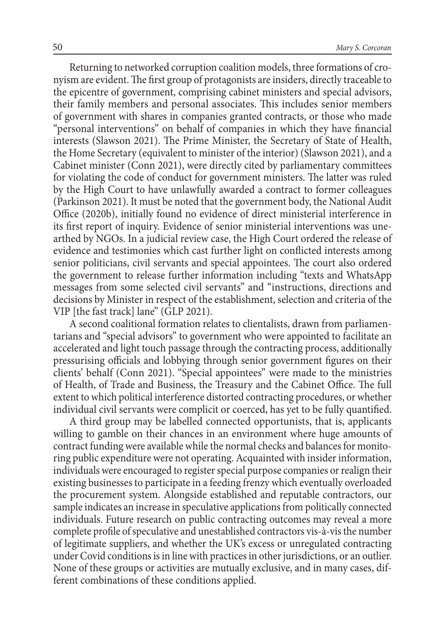Returning to networked corruption coalition models, three formations of cronyism are evident. The first group of protagonists are insiders, directly traceable to the epicentre of government, comprising cabinet ministers and special advisors, their family members and personal associates. This includes senior members of government with shares in companies granted contracts, or those who made "personal interventions" on behalf of companies in which they have financial interests (Slawson 2021). The Prime Minister, the Secretary of State of Health, the Home Secretary (equivalent to minister of the interior) (Slawson 2021), and a Cabinet minister (Conn 2021), were directly cited by parliamentary committees for violating the code of conduct for government ministers. The latter was ruled by the High Court to have unlawfully awarded a contract to former colleagues (Parkinson 2021). It must be noted that the government body, the National Audit Office (2020b), initially found no evidence of direct ministerial interference in its first report of inquiry. Evidence of senior ministerial interventions was unearthed by NGOs. In a judicial review case, the High Court ordered the release of evidence and testimonies which cast further light on conflicted interests among senior politicians, civil servants and special appointees. The court also ordered the government to release further information including "texts and WhatsApp messages from some selected civil servants" and "instructions, directions and decisions by Minister in respect of the establishment, selection and criteria of the VIP [the fast track] lane" (GLP 2021).

A second coalitional formation relates to clientalists, drawn from parliamentarians and "special advisors" to government who were appointed to facilitate an accelerated and light touch passage through the contracting process, additionally pressurising officials and lobbying through senior government figures on their clients' behalf (Conn 2021). "Special appointees" were made to the ministries of Health, of Trade and Business, the Treasury and the Cabinet Office. The full extent to which political interference distorted contracting procedures, or whether individual civil servants were complicit or coerced, has yet to be fully quantified.

A third group may be labelled connected opportunists, that is, applicants willing to gamble on their chances in an environment where huge amounts of contract funding were available while the normal checks and balances for monitoring public expenditure were not operating. Acquainted with insider information, individuals were encouraged to register special purpose companies or realign their existing businesses to participate in a feeding frenzy which eventually overloaded the procurement system. Alongside established and reputable contractors, our sample indicates an increase in speculative applications from politically connected individuals. Future research on public contracting outcomes may reveal a more complete profile of speculative and unestablished contractors vis-à-vis the number of legitimate suppliers, and whether the UK's excess or unregulated contracting under Covid conditions is in line with practices in other jurisdictions, or an outlier. None of these groups or activities are mutually exclusive, and in many cases, different combinations of these conditions applied.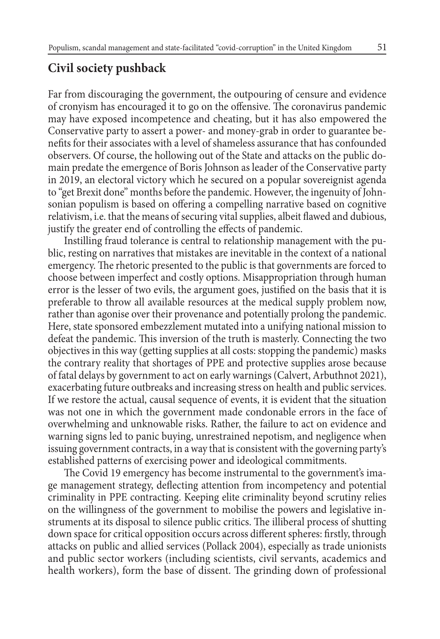#### **Civil society pushback**

Far from discouraging the government, the outpouring of censure and evidence of cronyism has encouraged it to go on the offensive. The coronavirus pandemic may have exposed incompetence and cheating, but it has also empowered the Conservative party to assert a power- and money-grab in order to guarantee benefits for their associates with a level of shameless assurance that has confounded observers. Of course, the hollowing out of the State and attacks on the public domain predate the emergence of Boris Johnson as leader of the Conservative party in 2019, an electoral victory which he secured on a popular sovereignist agenda to "get Brexit done" months before the pandemic. However, the ingenuity of Johnsonian populism is based on offering a compelling narrative based on cognitive relativism, i.e. that the means of securing vital supplies, albeit flawed and dubious, justify the greater end of controlling the effects of pandemic.

Instilling fraud tolerance is central to relationship management with the public, resting on narratives that mistakes are inevitable in the context of a national emergency. The rhetoric presented to the public is that governments are forced to choose between imperfect and costly options. Misappropriation through human error is the lesser of two evils, the argument goes, justified on the basis that it is preferable to throw all available resources at the medical supply problem now, rather than agonise over their provenance and potentially prolong the pandemic. Here, state sponsored embezzlement mutated into a unifying national mission to defeat the pandemic. This inversion of the truth is masterly. Connecting the two objectives in this way (getting supplies at all costs: stopping the pandemic) masks the contrary reality that shortages of PPE and protective supplies arose because of fatal delays by government to act on early warnings (Calvert, Arbuthnot 2021), exacerbating future outbreaks and increasing stress on health and public services. If we restore the actual, causal sequence of events, it is evident that the situation was not one in which the government made condonable errors in the face of overwhelming and unknowable risks. Rather, the failure to act on evidence and warning signs led to panic buying, unrestrained nepotism, and negligence when issuing government contracts, in a way that is consistent with the governing party's established patterns of exercising power and ideological commitments.

The Covid 19 emergency has become instrumental to the government's image management strategy, deflecting attention from incompetency and potential criminality in PPE contracting. Keeping elite criminality beyond scrutiny relies on the willingness of the government to mobilise the powers and legislative instruments at its disposal to silence public critics. The illiberal process of shutting down space for critical opposition occurs across different spheres: firstly, through attacks on public and allied services (Pollack 2004), especially as trade unionists and public sector workers (including scientists, civil servants, academics and health workers), form the base of dissent. The grinding down of professional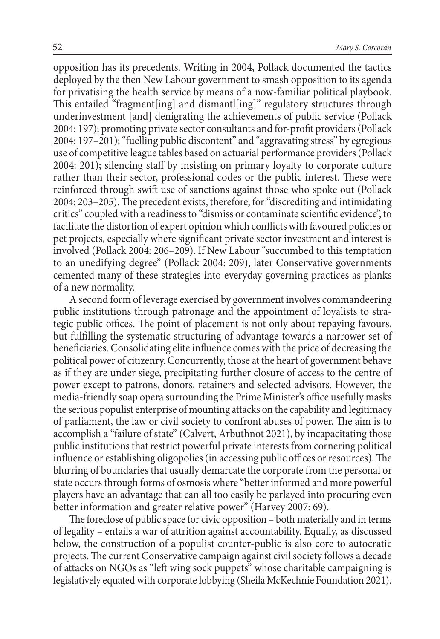opposition has its precedents. Writing in 2004, Pollack documented the tactics deployed by the then New Labour government to smash opposition to its agenda for privatising the health service by means of a now-familiar political playbook. This entailed "fragment[ing] and dismantl[ing]" regulatory structures through underinvestment [and] denigrating the achievements of public service (Pollack 2004: 197); promoting private sector consultants and for-profit providers (Pollack 2004: 197–201); "fuelling public discontent" and "aggravating stress" by egregious use of competitive league tables based on actuarial performance providers (Pollack 2004: 201); silencing staff by insisting on primary loyalty to corporate culture rather than their sector, professional codes or the public interest. These were reinforced through swift use of sanctions against those who spoke out (Pollack 2004: 203–205). The precedent exists, therefore, for "discrediting and intimidating critics" coupled with a readiness to "dismiss or contaminate scientific evidence", to facilitate the distortion of expert opinion which conflicts with favoured policies or pet projects, especially where significant private sector investment and interest is involved (Pollack 2004: 206–209). If New Labour "succumbed to this temptation to an unedifying degree" (Pollack 2004: 209), later Conservative governments cemented many of these strategies into everyday governing practices as planks of a new normality.

A second form of leverage exercised by government involves commandeering public institutions through patronage and the appointment of loyalists to strategic public offices. The point of placement is not only about repaying favours, but fulfilling the systematic structuring of advantage towards a narrower set of beneficiaries. Consolidating elite influence comes with the price of decreasing the political power of citizenry. Concurrently, those at the heart of government behave as if they are under siege, precipitating further closure of access to the centre of power except to patrons, donors, retainers and selected advisors. However, the media-friendly soap opera surrounding the Prime Minister's office usefully masks the serious populist enterprise of mounting attacks on the capability and legitimacy of parliament, the law or civil society to confront abuses of power. The aim is to accomplish a "failure of state" (Calvert, Arbuthnot 2021), by incapacitating those public institutions that restrict powerful private interests from cornering political influence or establishing oligopolies (in accessing public offices or resources). The blurring of boundaries that usually demarcate the corporate from the personal or state occurs through forms of osmosis where "better informed and more powerful players have an advantage that can all too easily be parlayed into procuring even better information and greater relative power" (Harvey 2007: 69).

The foreclose of public space for civic opposition – both materially and in terms of legality – entails a war of attrition against accountability. Equally, as discussed below, the construction of a populist counter-public is also core to autocratic projects. The current Conservative campaign against civil society follows a decade of attacks on NGOs as "left wing sock puppets" whose charitable campaigning is legislatively equated with corporate lobbying (Sheila McKechnie Foundation 2021).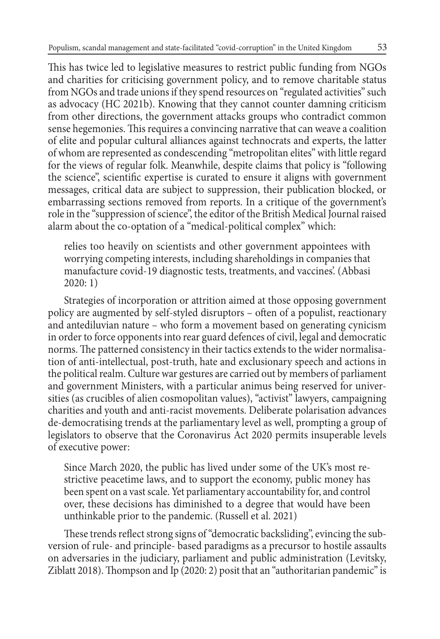This has twice led to legislative measures to restrict public funding from NGOs and charities for criticising government policy, and to remove charitable status from NGOs and trade unions if they spend resources on "regulated activities" such as advocacy (HC 2021b). Knowing that they cannot counter damning criticism from other directions, the government attacks groups who contradict common sense hegemonies. This requires a convincing narrative that can weave a coalition of elite and popular cultural alliances against technocrats and experts, the latter of whom are represented as condescending "metropolitan elites" with little regard for the views of regular folk. Meanwhile, despite claims that policy is "following the science", scientific expertise is curated to ensure it aligns with government messages, critical data are subject to suppression, their publication blocked, or embarrassing sections removed from reports. In a critique of the government's role in the "suppression of science", the editor of the British Medical Journal raised alarm about the co-optation of a "medical-political complex" which:

relies too heavily on scientists and other government appointees with worrying competing interests, including shareholdings in companies that manufacture covid-19 diagnostic tests, treatments, and vaccines'. (Abbasi 2020: 1)

Strategies of incorporation or attrition aimed at those opposing government policy are augmented by self-styled disruptors – often of a populist, reactionary and antediluvian nature – who form a movement based on generating cynicism in order to force opponents into rear guard defences of civil, legal and democratic norms. The patterned consistency in their tactics extends to the wider normalisation of anti-intellectual, post-truth, hate and exclusionary speech and actions in the political realm. Culture war gestures are carried out by members of parliament and government Ministers, with a particular animus being reserved for universities (as crucibles of alien cosmopolitan values), "activist" lawyers, campaigning charities and youth and anti-racist movements. Deliberate polarisation advances de-democratising trends at the parliamentary level as well, prompting a group of legislators to observe that the Coronavirus Act 2020 permits insuperable levels of executive power:

Since March 2020, the public has lived under some of the UK's most restrictive peacetime laws, and to support the economy, public money has been spent on a vast scale. Yet parliamentary accountability for, and control over, these decisions has diminished to a degree that would have been unthinkable prior to the pandemic. (Russell et al. 2021)

These trends reflect strong signs of "democratic backsliding", evincing the subversion of rule- and principle- based paradigms as a precursor to hostile assaults on adversaries in the judiciary, parliament and public administration (Levitsky, Ziblatt 2018). Thompson and Ip (2020: 2) posit that an "authoritarian pandemic" is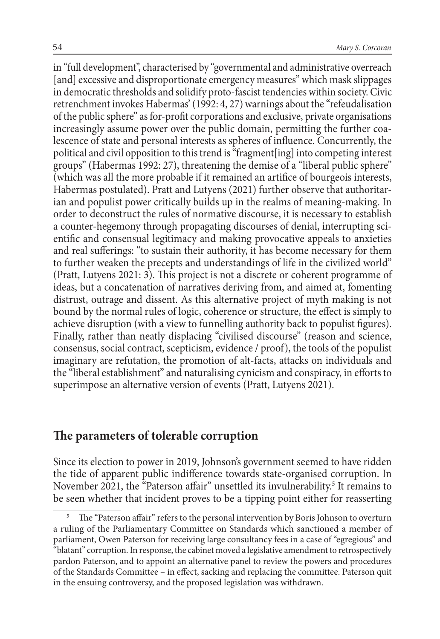in "full development", characterised by "governmental and administrative overreach [and] excessive and disproportionate emergency measures" which mask slippages in democratic thresholds and solidify proto-fascist tendencies within society. Civic retrenchment invokes Habermas' (1992: 4, 27) warnings about the "refeudalisation of the public sphere" as for-profit corporations and exclusive, private organisations increasingly assume power over the public domain, permitting the further coalescence of state and personal interests as spheres of influence. Concurrently, the political and civil opposition to this trend is "fragment[ing] into competing interest groups" (Habermas 1992: 27), threatening the demise of a "liberal public sphere" (which was all the more probable if it remained an artifice of bourgeois interests, Habermas postulated). Pratt and Lutyens (2021) further observe that authoritarian and populist power critically builds up in the realms of meaning-making. In order to deconstruct the rules of normative discourse, it is necessary to establish a counter-hegemony through propagating discourses of denial, interrupting scientific and consensual legitimacy and making provocative appeals to anxieties and real sufferings: "to sustain their authority, it has become necessary for them to further weaken the precepts and understandings of life in the civilized world" (Pratt, Lutyens 2021: 3). This project is not a discrete or coherent programme of ideas, but a concatenation of narratives deriving from, and aimed at, fomenting distrust, outrage and dissent. As this alternative project of myth making is not bound by the normal rules of logic, coherence or structure, the effect is simply to achieve disruption (with a view to funnelling authority back to populist figures). Finally, rather than neatly displacing "civilised discourse" (reason and science, consensus, social contract, scepticism, evidence / proof), the tools of the populist imaginary are refutation, the promotion of alt-facts, attacks on individuals and the "liberal establishment" and naturalising cynicism and conspiracy, in efforts to superimpose an alternative version of events (Pratt, Lutyens 2021).

#### **The parameters of tolerable corruption**

Since its election to power in 2019, Johnson's government seemed to have ridden the tide of apparent public indifference towards state-organised corruption. In November 2021, the "Paterson affair" unsettled its invulnerability.<sup>5</sup> It remains to be seen whether that incident proves to be a tipping point either for reasserting

<sup>5</sup> The "Paterson affair" refers to the personal intervention by Boris Johnson to overturn a ruling of the Parliamentary Committee on Standards which sanctioned a member of parliament, Owen Paterson for receiving large consultancy fees in a case of "egregious" and "blatant" corruption. In response, the cabinet moved a legislative amendment to retrospectively pardon Paterson, and to appoint an alternative panel to review the powers and procedures of the Standards Committee – in effect, sacking and replacing the committee. Paterson quit in the ensuing controversy, and the proposed legislation was withdrawn.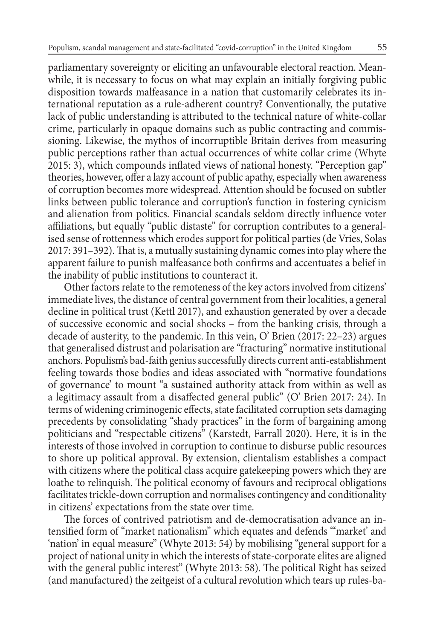parliamentary sovereignty or eliciting an unfavourable electoral reaction. Meanwhile, it is necessary to focus on what may explain an initially forgiving public disposition towards malfeasance in a nation that customarily celebrates its international reputation as a rule-adherent country? Conventionally, the putative lack of public understanding is attributed to the technical nature of white-collar crime, particularly in opaque domains such as public contracting and commissioning. Likewise, the mythos of incorruptible Britain derives from measuring public perceptions rather than actual occurrences of white collar crime (Whyte 2015: 3), which compounds inflated views of national honesty. "Perception gap" theories, however, offer a lazy account of public apathy, especially when awareness of corruption becomes more widespread. Attention should be focused on subtler links between public tolerance and corruption's function in fostering cynicism and alienation from politics. Financial scandals seldom directly influence voter affiliations, but equally "public distaste" for corruption contributes to a generalised sense of rottenness which erodes support for political parties (de Vries, Solas 2017: 391–392). That is, a mutually sustaining dynamic comes into play where the apparent failure to punish malfeasance both confirms and accentuates a belief in the inability of public institutions to counteract it.

Other factors relate to the remoteness of the key actors involved from citizens' immediate lives, the distance of central government from their localities, a general decline in political trust (Kettl 2017), and exhaustion generated by over a decade of successive economic and social shocks – from the banking crisis, through a decade of austerity, to the pandemic. In this vein, O' Brien (2017: 22–23) argues that generalised distrust and polarisation are "fracturing" normative institutional anchors. Populism's bad-faith genius successfully directs current anti-establishment feeling towards those bodies and ideas associated with "normative foundations of governance' to mount "a sustained authority attack from within as well as a legitimacy assault from a disaffected general public" (O' Brien 2017: 24). In terms of widening criminogenic effects, state facilitated corruption sets damaging precedents by consolidating "shady practices" in the form of bargaining among politicians and "respectable citizens" (Karstedt, Farrall 2020). Here, it is in the interests of those involved in corruption to continue to disburse public resources to shore up political approval. By extension, clientalism establishes a compact with citizens where the political class acquire gatekeeping powers which they are loathe to relinquish. The political economy of favours and reciprocal obligations facilitates trickle-down corruption and normalises contingency and conditionality in citizens' expectations from the state over time.

The forces of contrived patriotism and de-democratisation advance an intensified form of "market nationalism" which equates and defends '"market' and 'nation' in equal measure" (Whyte 2013: 54) by mobilising "general support for a project of national unity in which the interests of state-corporate elites are aligned with the general public interest" (Whyte 2013: 58). The political Right has seized (and manufactured) the zeitgeist of a cultural revolution which tears up rules-ba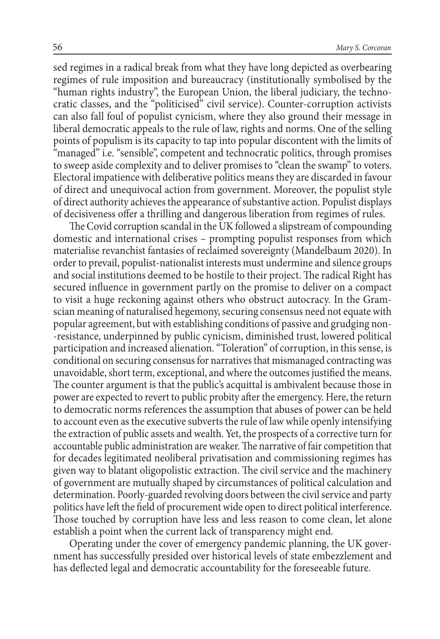sed regimes in a radical break from what they have long depicted as overbearing regimes of rule imposition and bureaucracy (institutionally symbolised by the "human rights industry", the European Union, the liberal judiciary, the technocratic classes, and the "politicised" civil service). Counter-corruption activists can also fall foul of populist cynicism, where they also ground their message in liberal democratic appeals to the rule of law, rights and norms. One of the selling points of populism is its capacity to tap into popular discontent with the limits of "managed" i.e. "sensible", competent and technocratic politics, through promises to sweep aside complexity and to deliver promises to "clean the swamp" to voters. Electoral impatience with deliberative politics means they are discarded in favour of direct and unequivocal action from government. Moreover, the populist style of direct authority achieves the appearance of substantive action. Populist displays of decisiveness offer a thrilling and dangerous liberation from regimes of rules.

The Covid corruption scandal in the UK followed a slipstream of compounding domestic and international crises – prompting populist responses from which materialise revanchist fantasies of reclaimed sovereignty (Mandelbaum 2020). In order to prevail, populist-nationalist interests must undermine and silence groups and social institutions deemed to be hostile to their project. The radical Right has secured influence in government partly on the promise to deliver on a compact to visit a huge reckoning against others who obstruct autocracy. In the Gramscian meaning of naturalised hegemony, securing consensus need not equate with popular agreement, but with establishing conditions of passive and grudging non- -resistance, underpinned by public cynicism, diminished trust, lowered political participation and increased alienation. "Toleration" of corruption, in this sense, is conditional on securing consensus for narratives that mismanaged contracting was unavoidable, short term, exceptional, and where the outcomes justified the means. The counter argument is that the public's acquittal is ambivalent because those in power are expected to revert to public probity after the emergency. Here, the return to democratic norms references the assumption that abuses of power can be held to account even as the executive subverts the rule of law while openly intensifying the extraction of public assets and wealth. Yet, the prospects of a corrective turn for accountable public administration are weaker. The narrative of fair competition that for decades legitimated neoliberal privatisation and commissioning regimes has given way to blatant oligopolistic extraction. The civil service and the machinery of government are mutually shaped by circumstances of political calculation and determination. Poorly-guarded revolving doors between the civil service and party politics have left the field of procurement wide open to direct political interference. Those touched by corruption have less and less reason to come clean, let alone establish a point when the current lack of transparency might end.

Operating under the cover of emergency pandemic planning, the UK government has successfully presided over historical levels of state embezzlement and has deflected legal and democratic accountability for the foreseeable future.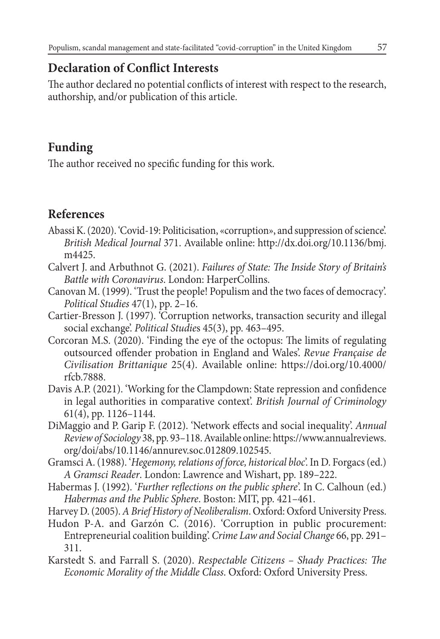# **Declaration of Conflict Interests**

The author declared no potential conflicts of interest with respect to the research, authorship, and/or publication of this article.

# **Funding**

The author received no specific funding for this work.

# **References**

- Abassi K. (2020). 'Covid-19: Politicisation, «corruption», and suppression of science'. *British Medical Journal* 371. Available online: http://dx.doi.org/10.1136/bmj. m4425.
- Calvert J. and Arbuthnot G. (2021). *Failures of State: The Inside Story of Britain's Battle with Coronavirus*. London: HarperCollins.
- Canovan M. (1999). 'Trust the people! Populism and the two faces of democracy'. *Political Studies* 47(1), pp. 2–16.
- Cartier-Bresson J. (1997). 'Corruption networks, transaction security and illegal social exchange'. *Political Studie*s 45(3), pp. 463–495.
- Corcoran M.S. (2020). 'Finding the eye of the octopus: The limits of regulating outsourced offender probation in England and Wales'. *Revue Française de Civilisation Brittanique* 25(4). Available online: https://doi.org/10.4000/ rfcb.7888.
- Davis A.P. (2021). 'Working for the Clampdown: State repression and confidence in legal authorities in comparative context'. *British Journal of Criminology* 61(4), pp. 1126–1144.
- DiMaggio and P. Garip F. (2012). 'Network effects and social inequality'. *Annual Review of Sociology* 38, pp. 93–118. Available online: https://www.annualreviews. org/doi/abs/10.1146/annurev.soc.012809.102545.
- Gramsci A. (1988). '*Hegemony, relations of force, historical bloc*'. In D. Forgacs (ed.) *A Gramsci Reader*. London: Lawrence and Wishart, pp. 189–222.
- Habermas J. (1992). '*Further reflections on the public sphere*'. In C. Calhoun (ed.) *Habermas and the Public Sphere*. Boston: MIT, pp. 421–461.
- Harvey D. (2005). *A Brief History of Neoliberalism*. Oxford: Oxford University Press.
- Hudon P-A. and Garzón C. (2016). 'Corruption in public procurement: Entrepreneurial coalition building'. *Crime Law and Social Change* 66, pp. 291– 311.
- Karstedt S. and Farrall S. (2020). *Respectable Citizens Shady Practices: The Economic Morality of the Middle Class*. Oxford: Oxford University Press.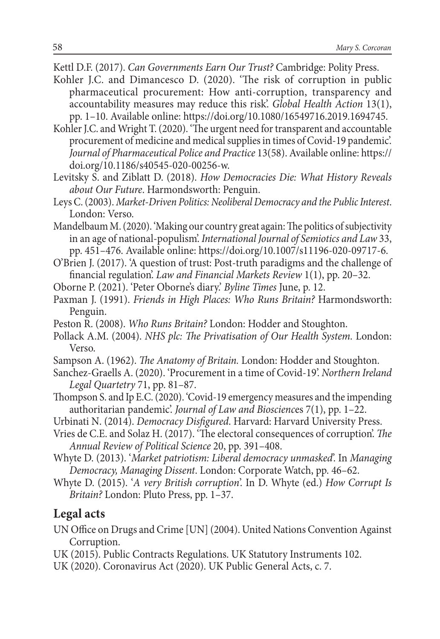Kettl D.F. (2017). *Can Governments Earn Our Trust?* Cambridge: Polity Press.

- Kohler J.C. and Dimancesco D. (2020). 'The risk of corruption in public pharmaceutical procurement: How anti-corruption, transparency and accountability measures may reduce this risk'. *Global Health Action* 13(1), pp. 1–10. Available online: https://doi.org/10.1080/16549716.2019.1694745.
- Kohler J.C. and Wright T. (2020). 'The urgent need for transparent and accountable procurement of medicine and medical supplies in times of Covid-19 pandemic'. *Journal of Pharmaceutical Police and Practice* 13(58). Available online: https:// doi.org/10.1186/s40545-020-00256-w.
- Levitsky S. and Ziblatt D. (2018). *How Democracies Die: What History Reveals about Our Future*. Harmondsworth: Penguin.
- Leys C. (2003). *Market-Driven Politics: Neoliberal Democracy and the Public Interest*. London: Verso.
- Mandelbaum M. (2020). 'Making our country great again: The politics of subjectivity in an age of national-populism'. *International Journal of Semiotics and Law* 33, pp. 451–476. Available online: https://doi.org/10.1007/s11196-020-09717-6.
- O'Brien J. (2017). 'A question of trust: Post-truth paradigms and the challenge of financial regulation'. *Law and Financial Markets Review* 1(1), pp. 20–32.
- Oborne P. (2021). 'Peter Oborne's diary.' *Byline Times* June, p. 12.
- Paxman J. (1991). *Friends in High Places: Who Runs Britain?* Harmondsworth: Penguin.
- Peston R. (2008). *Who Runs Britain?* London: Hodder and Stoughton.
- Pollack A.M. (2004). *NHS plc: The Privatisation of Our Health System.* London: Verso.
- Sampson A. (1962). *The Anatomy of Britain.* London: Hodder and Stoughton.
- Sanchez-Graells A. (2020). 'Procurement in a time of Covid-19'. *Northern Ireland Legal Quartetry* 71, pp. 81–87.
- Thompson S. and Ip E.C. (2020). 'Covid-19 emergency measures and the impending authoritarian pandemic'. *Journal of Law and Bioscienc*es 7(1), pp. 1–22.
- Urbinati N. (2014). *Democracy Disfigured*. Harvard: Harvard University Press.
- Vries de C.E. and Solaz H. (2017). 'The electoral consequences of corruption'. *The Annual Review of Political Science* 20, pp. 391–408.
- Whyte D. (2013). '*Market patriotism: Liberal democracy unmasked*'. In *Managing Democracy, Managing Dissent*. London: Corporate Watch, pp. 46–62.
- Whyte D. (2015). '*A very British corruption*'. In D. Whyte (ed.) *How Corrupt Is Britain?* London: Pluto Press, pp. 1–37.

### **Legal acts**

- UN Office on Drugs and Crime [UN] (2004). United Nations Convention Against Corruption.
- UK (2015). Public Contracts Regulations. UK Statutory Instruments 102.
- UK (2020). Coronavirus Act (2020). UK Public General Acts, c. 7.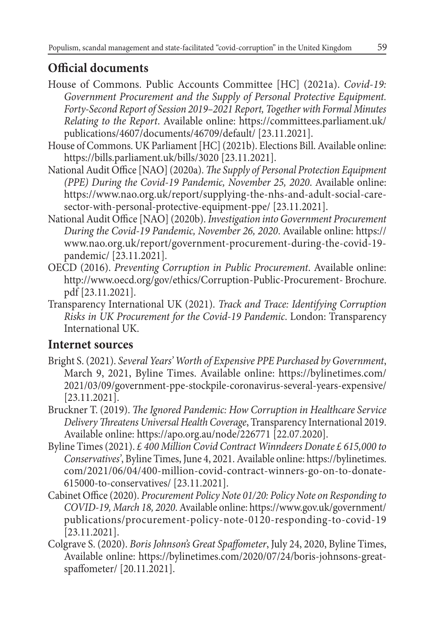# **Official documents**

- House of Commons. Public Accounts Committee [HC] (2021a). *Covid-19: Government Procurement and the Supply of Personal Protective Equipment. Forty-Second Report of Session 2019–2021 Report, Together with Formal Minutes Relating to the Report*. Available online: https://committees.parliament.uk/ publications/4607/documents/46709/default/ [23.11.2021].
- House of Commons. UK Parliament [HC] (2021b). Elections Bill. Available online: https://bills.parliament.uk/bills/3020 [23.11.2021].
- National Audit Office [NAO] (2020a). *The Supply of Personal Protection Equipment (PPE) During the Covid-19 Pandemic, November 25, 2020*. Available online: https://www.nao.org.uk/report/supplying-the-nhs-and-adult-social-caresector-with-personal-protective-equipment-ppe/ [23.11.2021].
- National Audit Office [NAO] (2020b). *Investigation into Government Procurement During the Covid-19 Pandemic, November 26, 2020*. Available online: https:// www.nao.org.uk/report/government-procurement-during-the-covid-19 pandemic/ [23.11.2021].
- OECD (2016). *Preventing Corruption in Public Procurement*. Available online: http://www.oecd.org/gov/ethics/Corruption-Public-Procurement- Brochure. pdf [23.11.2021].
- Transparency International UK (2021). *Track and Trace: Identifying Corruption Risks in UK Procurement for the Covid-19 Pandemic*. London: Transparency International UK.

### **Internet sources**

- Bright S. (2021). *Several Years' Worth of Expensive PPE Purchased by Government*, March 9, 2021, Byline Times. Available online: https://bylinetimes.com/ 2021/03/09/government-ppe-stockpile-coronavirus-several-years-expensive/ [23.11.2021].
- Bruckner T. (2019). *The Ignored Pandemic: How Corruption in Healthcare Service Delivery Threatens Universal Health Coverage*, Transparency International 2019. Available online: https://apo.org.au/node/226771 [22.07.2020].
- Byline Times (2021). *£ 400 Million Covid Contract Winndeers Donate £ 615,000 to Conservatives'*, Byline Times, June 4, 2021. Available online: https://bylinetimes. com/2021/06/04/400-million-covid-contract-winners-go-on-to-donate-615000-to-conservatives/ [23.11.2021].
- Cabinet Office (2020). *Procurement Policy Note 01/20: Policy Note on Responding to COVID-19, March 18, 2020*. Available online: https://www.gov.uk/government/ publications/procurement-policy-note-0120-responding-to-covid-19 [23.11.2021].
- Colgrave S. (2020). *Boris Johnson's Great Spaffometer*, July 24, 2020, Byline Times, Available online: https://bylinetimes.com/2020/07/24/boris-johnsons-greatspaffometer/ [20.11.2021].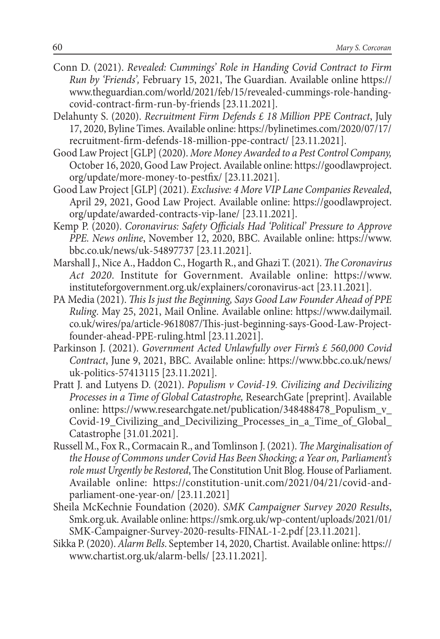- Conn D. (2021). *Revealed: Cummings' Role in Handing Covid Contract to Firm Run by 'Friends',* February 15, 2021, The Guardian. Available online https:// www.theguardian.com/world/2021/feb/15/revealed-cummings-role-handingcovid-contract-firm-run-by-friends [23.11.2021].
- Delahunty S. (2020). *Recruitment Firm Defends £ 18 Million PPE Contract*, July 17, 2020, Byline Times. Available online: https://bylinetimes.com/2020/07/17/ recruitment-firm-defends-18-million-ppe-contract/ [23.11.2021].
- Good Law Project [GLP] (2020). *More Money Awarded to a Pest Control Company,* October 16, 2020, Good Law Project. Available online: https://goodlawproject. org/update/more-money-to-pestfix/ [23.11.2021].
- Good Law Project [GLP] (2021). *Exclusive: 4 More VIP Lane Companies Revealed*, April 29, 2021, Good Law Project. Available online: https://goodlawproject. org/update/awarded-contracts-vip-lane/ [23.11.2021].
- Kemp P. (2020). *Coronavirus: Safety Officials Had 'Political' Pressure to Approve PPE. News online*, November 12, 2020, BBC. Available online: https://www. bbc.co.uk/news/uk-54897737 [23.11.2021].
- Marshall J., Nice A., Haddon C., Hogarth R., and Ghazi T. (2021). *The Coronavirus Act 2020*. Institute for Government. Available online: https://www. instituteforgovernment.org.uk/explainers/coronavirus-act [23.11.2021].
- PA Media (2021). *This Is just the Beginning, Says Good Law Founder Ahead of PPE Ruling*. May 25, 2021, Mail Online. Available online: https://www.dailymail. co.uk/wires/pa/article-9618087/This-just-beginning-says-Good-Law-Projectfounder-ahead-PPE-ruling.html [23.11.2021].
- Parkinson J. (2021). *Government Acted Unlawfully over Firm's £ 560,000 Covid Contract*, June 9, 2021, BBC. Available online: https://www.bbc.co.uk/news/ uk-politics-57413115 [23.11.2021].
- Pratt J. and Lutyens D. (2021). *Populism v Covid-19. Civilizing and Decivilizing Processes in a Time of Global Catastrophe,* ResearchGate [preprint]. Available online: https://www.researchgate.net/publication/348488478\_Populism\_v\_ Covid-19\_Civilizing\_and\_Decivilizing\_Processes\_in\_a\_Time\_of\_Global\_ Catastrophe [31.01.2021].
- Russell M., Fox R., Cormacain R., and Tomlinson J. (2021). *The Marginalisation of the House of Commons under Covid Has Been Shocking; a Year on, Parliament's role must Urgently be Restored*, The Constitution Unit Blog. House of Parliament. Available online: https://constitution-unit.com/2021/04/21/covid-andparliament-one-year-on/ [23.11.2021]
- Sheila McKechnie Foundation (2020). *SMK Campaigner Survey 2020 Results*, Smk.org.uk. Available online: https://smk.org.uk/wp-content/uploads/2021/01/ SMK-Campaigner-Survey-2020-results-FINAL-1-2.pdf [23.11.2021].
- Sikka P. (2020). *Alarm Bells*. September 14, 2020, Chartist. Available online: https:// www.chartist.org.uk/alarm-bells/ [23.11.2021].